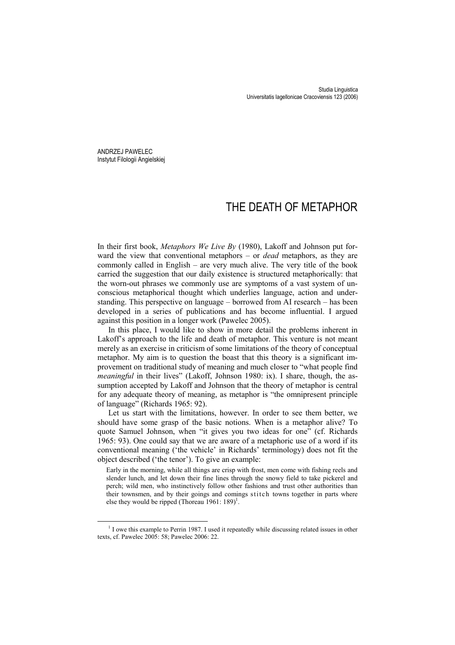ANDRZEJ PAWELEC Instytut Filologii Angielskiej

# THE DEATH OF METAPHOR

In their first book, *Metaphors We Live By* (1980), Lakoff and Johnson put forward the view that conventional metaphors – or *dead* metaphors, as they are commonly called in English – are very much alive. The very title of the book carried the suggestion that our daily existence is structured metaphorically: that the worn-out phrases we commonly use are symptoms of a vast system of unconscious metaphorical thought which underlies language, action and understanding. This perspective on language – borrowed from AI research – has been developed in a series of publications and has become influential. I argued against this position in a longer work (Pawelec 2005).

In this place, I would like to show in more detail the problems inherent in Lakoff's approach to the life and death of metaphor. This venture is not meant merely as an exercise in criticism of some limitations of the theory of conceptual metaphor. My aim is to question the boast that this theory is a significant improvement on traditional study of meaning and much closer to "what people find *meaningful* in their lives" (Lakoff, Johnson 1980: ix). I share, though, the assumption accepted by Lakoff and Johnson that the theory of metaphor is central for any adequate theory of meaning, as metaphor is "the omnipresent principle of language" (Richards 1965: 92).

Let us start with the limitations, however. In order to see them better, we should have some grasp of the basic notions. When is a metaphor alive? To quote Samuel Johnson, when "it gives you two ideas for one" (cf. Richards 1965: 93). One could say that we are aware of a metaphoric use of a word if its conventional meaning ('the vehicle' in Richards' terminology) does not fit the object described ('the tenor'). To give an example:

Early in the morning, while all things are crisp with frost, men come with fishing reels and slender lunch, and let down their fine lines through the snowy field to take pickerel and perch; wild men, who instinctively follow other fashions and trust other authorities than their townsmen, and by their goings and comings stitch towns together in parts where else they would be ripped (Thoreau 1961: 189)<sup>1</sup>.

 <sup>1</sup>  $<sup>1</sup>$  I owe this example to Perrin 1987. I used it repeatedly while discussing related issues in other</sup> texts, cf. Pawelec 2005: 58; Pawelec 2006: 22.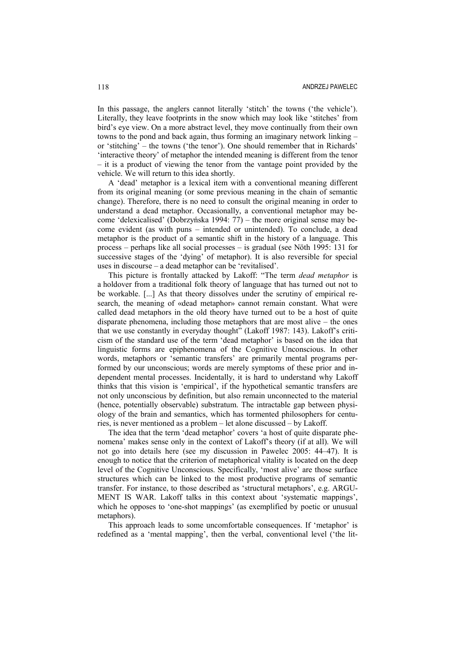In this passage, the anglers cannot literally 'stitch' the towns ('the vehicle'). Literally, they leave footprints in the snow which may look like 'stitches' from bird's eye view. On a more abstract level, they move continually from their own towns to the pond and back again, thus forming an imaginary network linking – or 'stitching' – the towns ('the tenor'). One should remember that in Richards' 'interactive theory' of metaphor the intended meaning is different from the tenor – it is a product of viewing the tenor from the vantage point provided by the vehicle. We will return to this idea shortly.

A 'dead' metaphor is a lexical item with a conventional meaning different from its original meaning (or some previous meaning in the chain of semantic change). Therefore, there is no need to consult the original meaning in order to understand a dead metaphor. Occasionally, a conventional metaphor may become 'delexicalised' (Dobrzyńska 1994: 77) – the more original sense may become evident (as with puns – intended or unintended). To conclude, a dead metaphor is the product of a semantic shift in the history of a language. This process – perhaps like all social processes – is gradual (see Nöth 1995: 131 for successive stages of the 'dying' of metaphor). It is also reversible for special uses in discourse – a dead metaphor can be 'revitalised'.

This picture is frontally attacked by Lakoff: "The term *dead metaphor* is a holdover from a traditional folk theory of language that has turned out not to be workable. [...] As that theory dissolves under the scrutiny of empirical research, the meaning of «dead metaphor» cannot remain constant. What were called dead metaphors in the old theory have turned out to be a host of quite disparate phenomena, including those metaphors that are most alive – the ones that we use constantly in everyday thought" (Lakoff 1987: 143). Lakoff's criticism of the standard use of the term 'dead metaphor' is based on the idea that linguistic forms are epiphenomena of the Cognitive Unconscious. In other words, metaphors or 'semantic transfers' are primarily mental programs performed by our unconscious; words are merely symptoms of these prior and independent mental processes. Incidentally, it is hard to understand why Lakoff thinks that this vision is 'empirical', if the hypothetical semantic transfers are not only unconscious by definition, but also remain unconnected to the material (hence, potentially observable) substratum. The intractable gap between physiology of the brain and semantics, which has tormented philosophers for centuries, is never mentioned as a problem – let alone discussed – by Lakoff.

The idea that the term 'dead metaphor' covers 'a host of quite disparate phenomena' makes sense only in the context of Lakoff's theory (if at all). We will not go into details here (see my discussion in Pawelec 2005: 44–47). It is enough to notice that the criterion of metaphorical vitality is located on the deep level of the Cognitive Unconscious. Specifically, 'most alive' are those surface structures which can be linked to the most productive programs of semantic transfer. For instance, to those described as 'structural metaphors', e.g. ARGU-MENT IS WAR. Lakoff talks in this context about 'systematic mappings', which he opposes to 'one-shot mappings' (as exemplified by poetic or unusual metaphors).

This approach leads to some uncomfortable consequences. If 'metaphor' is redefined as a 'mental mapping', then the verbal, conventional level ('the lit-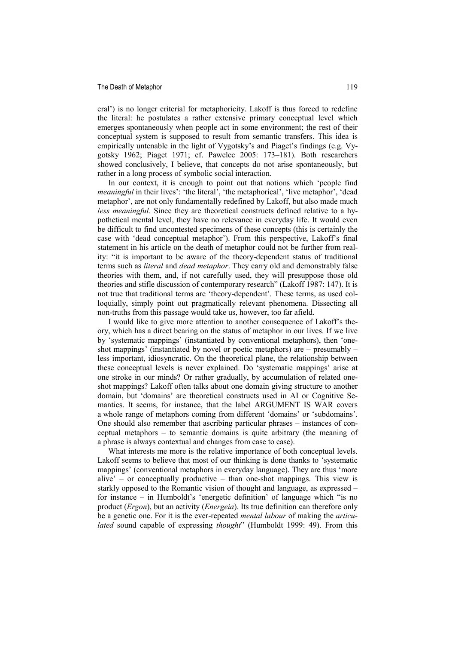#### The Death of Metaphor 119

eral') is no longer criterial for metaphoricity. Lakoff is thus forced to redefine the literal: he postulates a rather extensive primary conceptual level which emerges spontaneously when people act in some environment; the rest of their conceptual system is supposed to result from semantic transfers. This idea is empirically untenable in the light of Vygotsky's and Piaget's findings (e.g. Vygotsky 1962; Piaget 1971; cf. Pawelec 2005: 173–181). Both researchers showed conclusively, I believe, that concepts do not arise spontaneously, but rather in a long process of symbolic social interaction.

In our context, it is enough to point out that notions which 'people find *meaningful* in their lives': 'the literal', 'the metaphorical', 'live metaphor', 'dead metaphor', are not only fundamentally redefined by Lakoff, but also made much *less meaningful*. Since they are theoretical constructs defined relative to a hypothetical mental level, they have no relevance in everyday life. It would even be difficult to find uncontested specimens of these concepts (this is certainly the case with 'dead conceptual metaphor'). From this perspective, Lakoff's final statement in his article on the death of metaphor could not be further from reality: "it is important to be aware of the theory-dependent status of traditional terms such as *literal* and *dead metaphor*. They carry old and demonstrably false theories with them, and, if not carefully used, they will presuppose those old theories and stifle discussion of contemporary research" (Lakoff 1987: 147). It is not true that traditional terms are 'theory-dependent'. These terms, as used colloquially, simply point out pragmatically relevant phenomena. Dissecting all non-truths from this passage would take us, however, too far afield.

I would like to give more attention to another consequence of Lakoff's theory, which has a direct bearing on the status of metaphor in our lives. If we live by 'systematic mappings' (instantiated by conventional metaphors), then 'oneshot mappings' (instantiated by novel or poetic metaphors) are – presumably – less important, idiosyncratic. On the theoretical plane, the relationship between these conceptual levels is never explained. Do 'systematic mappings' arise at one stroke in our minds? Or rather gradually, by accumulation of related oneshot mappings? Lakoff often talks about one domain giving structure to another domain, but 'domains' are theoretical constructs used in AI or Cognitive Semantics. It seems, for instance, that the label ARGUMENT IS WAR covers a whole range of metaphors coming from different 'domains' or 'subdomains'. One should also remember that ascribing particular phrases – instances of conceptual metaphors – to semantic domains is quite arbitrary (the meaning of a phrase is always contextual and changes from case to case).

What interests me more is the relative importance of both conceptual levels. Lakoff seems to believe that most of our thinking is done thanks to 'systematic mappings' (conventional metaphors in everyday language). They are thus 'more alive' – or conceptually productive – than one-shot mappings. This view is starkly opposed to the Romantic vision of thought and language, as expressed – for instance – in Humboldt's 'energetic definition' of language which "is no product (*Ergon*), but an activity (*Energeia*). Its true definition can therefore only be a genetic one. For it is the ever-repeated *mental labour* of making the *articulated* sound capable of expressing *thought*" (Humboldt 1999: 49). From this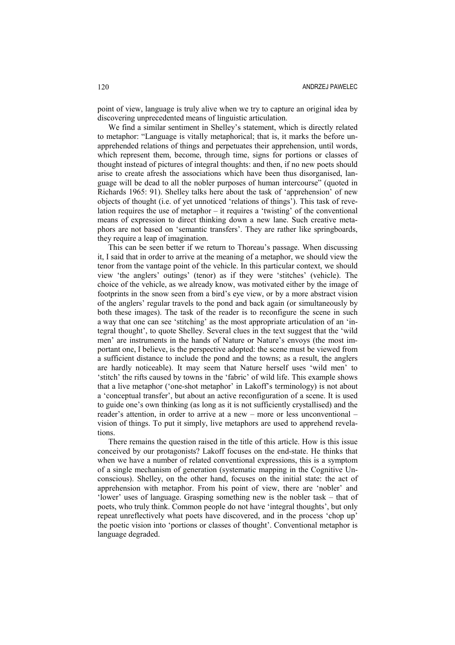point of view, language is truly alive when we try to capture an original idea by discovering unprecedented means of linguistic articulation.

We find a similar sentiment in Shelley's statement, which is directly related to metaphor: "Language is vitally metaphorical; that is, it marks the before unapprehended relations of things and perpetuates their apprehension, until words, which represent them, become, through time, signs for portions or classes of thought instead of pictures of integral thoughts: and then, if no new poets should arise to create afresh the associations which have been thus disorganised, language will be dead to all the nobler purposes of human intercourse" (quoted in Richards 1965: 91). Shelley talks here about the task of 'apprehension' of new objects of thought (i.e. of yet unnoticed 'relations of things'). This task of revelation requires the use of metaphor – it requires a 'twisting' of the conventional means of expression to direct thinking down a new lane. Such creative metaphors are not based on 'semantic transfers'. They are rather like springboards, they require a leap of imagination.

This can be seen better if we return to Thoreau's passage. When discussing it, I said that in order to arrive at the meaning of a metaphor, we should view the tenor from the vantage point of the vehicle. In this particular context, we should view 'the anglers' outings' (tenor) as if they were 'stitches' (vehicle). The choice of the vehicle, as we already know, was motivated either by the image of footprints in the snow seen from a bird's eye view, or by a more abstract vision of the anglers' regular travels to the pond and back again (or simultaneously by both these images). The task of the reader is to reconfigure the scene in such a way that one can see 'stitching' as the most appropriate articulation of an 'integral thought', to quote Shelley. Several clues in the text suggest that the 'wild men' are instruments in the hands of Nature or Nature's envoys (the most important one, I believe, is the perspective adopted: the scene must be viewed from a sufficient distance to include the pond and the towns; as a result, the anglers are hardly noticeable). It may seem that Nature herself uses 'wild men' to 'stitch' the rifts caused by towns in the 'fabric' of wild life. This example shows that a live metaphor ('one-shot metaphor' in Lakoff's terminology) is not about a 'conceptual transfer', but about an active reconfiguration of a scene. It is used to guide one's own thinking (as long as it is not sufficiently crystallised) and the reader's attention, in order to arrive at a new – more or less unconventional – vision of things. To put it simply, live metaphors are used to apprehend revelations.

There remains the question raised in the title of this article. How is this issue conceived by our protagonists? Lakoff focuses on the end-state. He thinks that when we have a number of related conventional expressions, this is a symptom of a single mechanism of generation (systematic mapping in the Cognitive Unconscious). Shelley, on the other hand, focuses on the initial state: the act of apprehension with metaphor. From his point of view, there are 'nobler' and 'lower' uses of language. Grasping something new is the nobler task – that of poets, who truly think. Common people do not have 'integral thoughts', but only repeat unreflectively what poets have discovered, and in the process 'chop up' the poetic vision into 'portions or classes of thought'. Conventional metaphor is language degraded.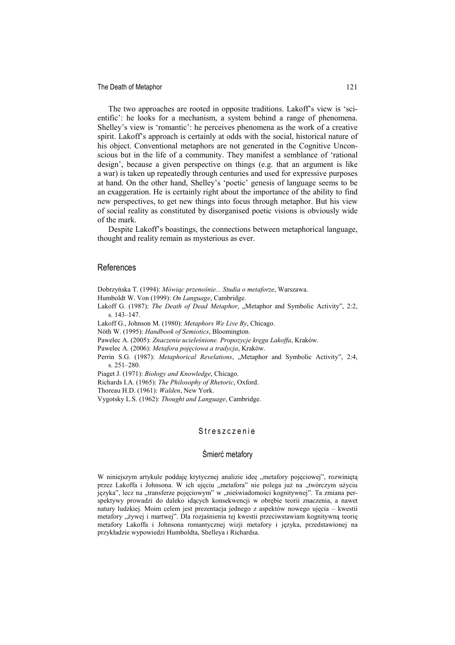The Death of Metaphor 121

The two approaches are rooted in opposite traditions. Lakoff's view is 'scientific': he looks for a mechanism, a system behind a range of phenomena. Shelley's view is 'romantic': he perceives phenomena as the work of a creative spirit. Lakoff's approach is certainly at odds with the social, historical nature of his object. Conventional metaphors are not generated in the Cognitive Unconscious but in the life of a community. They manifest a semblance of 'rational design', because a given perspective on things (e.g. that an argument is like a war) is taken up repeatedly through centuries and used for expressive purposes at hand. On the other hand, Shelley's 'poetic' genesis of language seems to be an exaggeration. He is certainly right about the importance of the ability to find new perspectives, to get new things into focus through metaphor. But his view of social reality as constituted by disorganised poetic visions is obviously wide of the mark.

Despite Lakoff's boastings, the connections between metaphorical language, thought and reality remain as mysterious as ever.

#### References

- Dobrzyńska T. (1994): *Mówiąc przenośnie... Studia o metaforze*, Warszawa.
- Humboldt W. Von (1999): *On Language*, Cambridge.
- Lakoff G. (1987): *The Death of Dead Metaphor*, "Metaphor and Symbolic Activity", 2:2, s. 143–147.
- Lakoff G., Johnson M. (1980): *Metaphors We Live By*, Chicago.
- Nöth W. (1995): *Handbook of Semiotics*, Bloomington.
- Pawelec A. (2005): *Znaczenie ucieleśnione. Propozycje kręgu Lakoffa*, Kraków.
- Pawelec A. (2006): *Metafora pojęciowa a tradycja*, Kraków.
- Perrin S.G. (1987): *Metaphorical Revelations*, "Metaphor and Symbolic Activity", 2:4, s. 251–280.
- Piaget J. (1971): *Biology and Knowledge*, Chicago.
- Richards I.A. (1965): *The Philosophy of Rhetoric*, Oxford.

Thoreau H.D. (1961): *Walden*, New York.

Vygotsky L.S. (1962): *Thought and Language*, Cambridge.

## Streszczenie

### Śmierć metafory

W niniejszym artykule poddaję krytycznej analizie ideę "metafory pojęciowej", rozwiniętą przez Lakoffa i Johnsona. W ich ujęciu "metafora" nie polega już na "twórczym użyciu języka", lecz na "transferze pojęciowym" w "nieświadomości kognitywnej". Ta zmiana perspektywy prowadzi do daleko idących konsekwencji w obrębie teorii znaczenia, a nawet natury ludzkiej. Moim celem jest prezentacja jednego z aspektów nowego ujęcia – kwestii metafory "żywej i martwej". Dla rozjaśnienia tej kwestii przeciwstawiam kognitywną teorię metafory Lakoffa i Johnsona romantycznej wizji metafory i języka, przedstawionej na przykładzie wypowiedzi Humboldta, Shelleya i Richardsa.